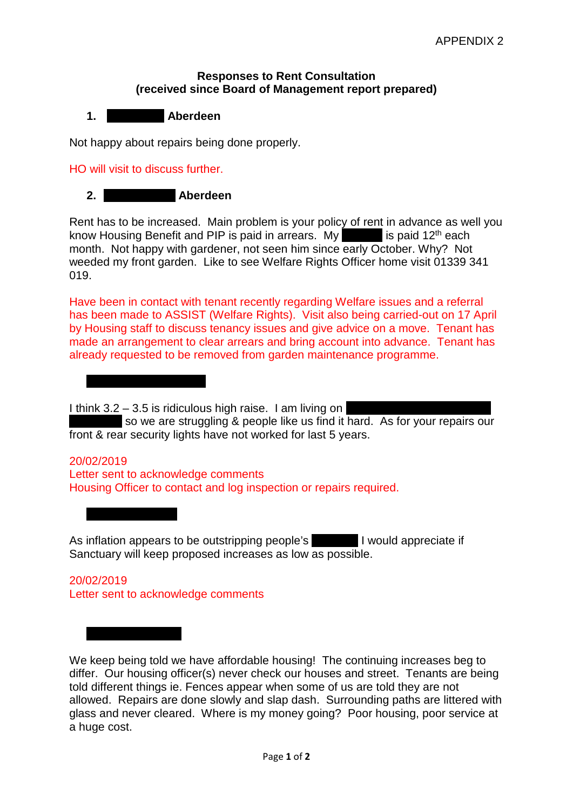## **Responses to Rent Consultation (received since Board of Management report prepared)**



Not happy about repairs being done properly.

## HO will visit to discuss further.

**3. Hazlehead Terrace**

**4. Hoylake Yard**

## **2. Bowty Place, Aberdeen**

Rent has to be increased. Main problem is your policy of rent in advance as well you know Housing Benefit and PIP is paid in arrears. My pension is paid 12<sup>th</sup> each month. Not happy with gardener, not seen him since early October. Why? Not weeded my front garden. Like to see Welfare Rights Officer home visit 01339 341 019.

Have been in contact with tenant recently regarding Welfare issues and a referral has been made to ASSIST (Welfare Rights). Visit also being carried-out on 17 April by Housing staff to discuss tenancy issues and give advice on a move. Tenant has made an arrangement to clear arrears and bring account into advance. Tenant has already requested to be removed from garden maintenance programme.

I think  $3.2 - 3.5$  is ridiculous high raise. I am living on

so we are struggling & people like us find it hard. As for your repairs our front & rear security lights have not worked for last 5 years.

## 20/02/2019 Letter sent to acknowledge comments Housing Officer to contact and log inspection or repairs required.

As inflation appears to be outstripping people's **Fig. 1** would appreciate if Sanctuary will keep proposed increases as low as possible.

20/02/2019 Letter sent to acknowledge comments

We keep being told we have affordable housing! The continuing increases beg to differ. Our housing officer(s) never check our houses and street. Tenants are being told different things ie. Fences appear when some of us are told they are not allowed. Repairs are done slowly and slap dash. Surrounding paths are littered with glass and never cleared. Where is my money going? Poor housing, poor service at a huge cost.